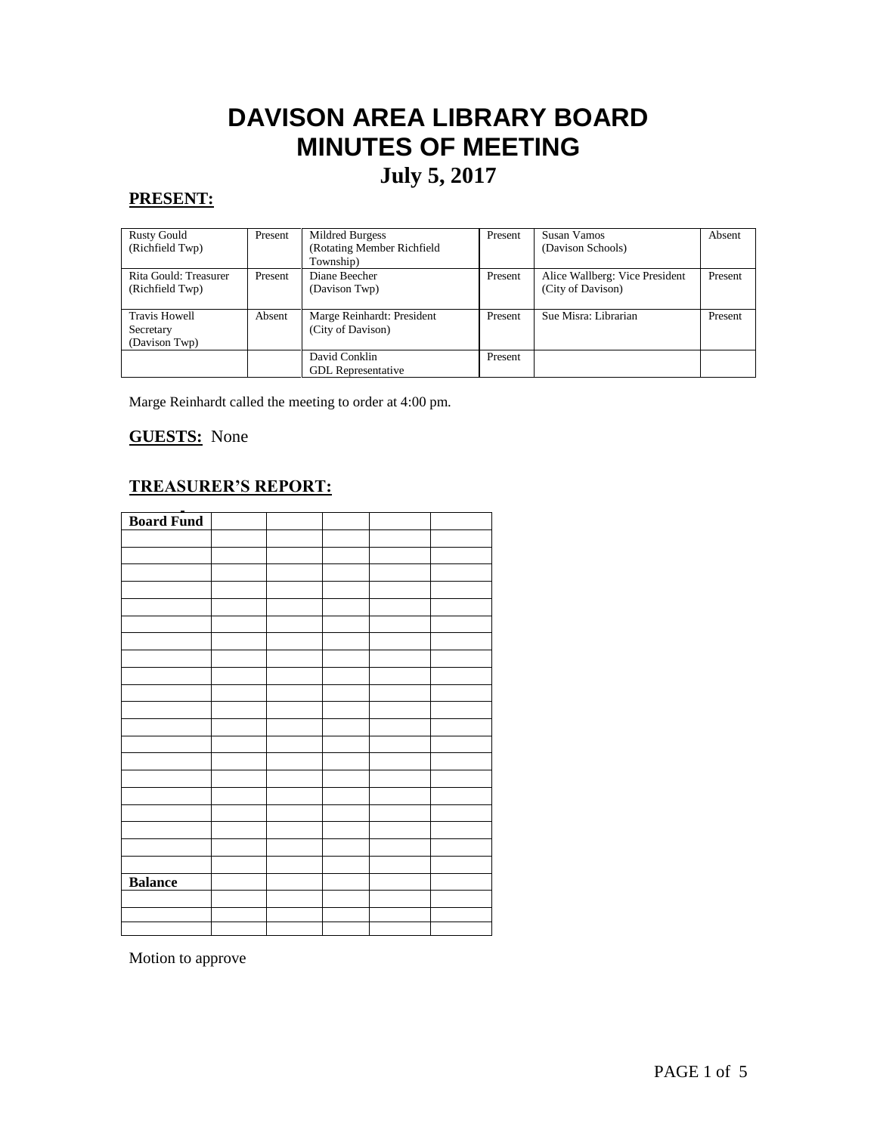# **DAVISON AREA LIBRARY BOARD MINUTES OF MEETING July 5, 2017**

## **PRESENT:**

| <b>Rusty Gould</b><br>(Richfield Twp) | Present | Mildred Burgess<br>(Rotating Member Richfield | Present | Susan Vamos<br>(Davison Schools) | Absent  |
|---------------------------------------|---------|-----------------------------------------------|---------|----------------------------------|---------|
|                                       |         | Township)                                     |         |                                  |         |
| Rita Gould: Treasurer                 | Present | Diane Beecher                                 | Present | Alice Wallberg: Vice President   | Present |
| (Richfield Twp)                       |         | (Davison Twp)                                 |         | (City of Davison)                |         |
|                                       |         |                                               |         |                                  |         |
| <b>Travis Howell</b>                  | Absent  | Marge Reinhardt: President                    | Present | Sue Misra: Librarian             | Present |
| Secretary                             |         | (City of Davison)                             |         |                                  |         |
| (Davison Twp)                         |         |                                               |         |                                  |         |
|                                       |         | David Conklin                                 | Present |                                  |         |
|                                       |         | <b>GDL</b> Representative                     |         |                                  |         |

Marge Reinhardt called the meeting to order at 4:00 pm.

## **GUESTS:** None

## **TREASURER'S REPORT:**

| <b>Board Fund</b> |  |  |  |
|-------------------|--|--|--|
|                   |  |  |  |
|                   |  |  |  |
|                   |  |  |  |
|                   |  |  |  |
|                   |  |  |  |
|                   |  |  |  |
|                   |  |  |  |
|                   |  |  |  |
|                   |  |  |  |
|                   |  |  |  |
|                   |  |  |  |
|                   |  |  |  |
|                   |  |  |  |
|                   |  |  |  |
|                   |  |  |  |
|                   |  |  |  |
|                   |  |  |  |
|                   |  |  |  |
|                   |  |  |  |
|                   |  |  |  |
| <b>Balance</b>    |  |  |  |
|                   |  |  |  |
|                   |  |  |  |
|                   |  |  |  |

Motion to approve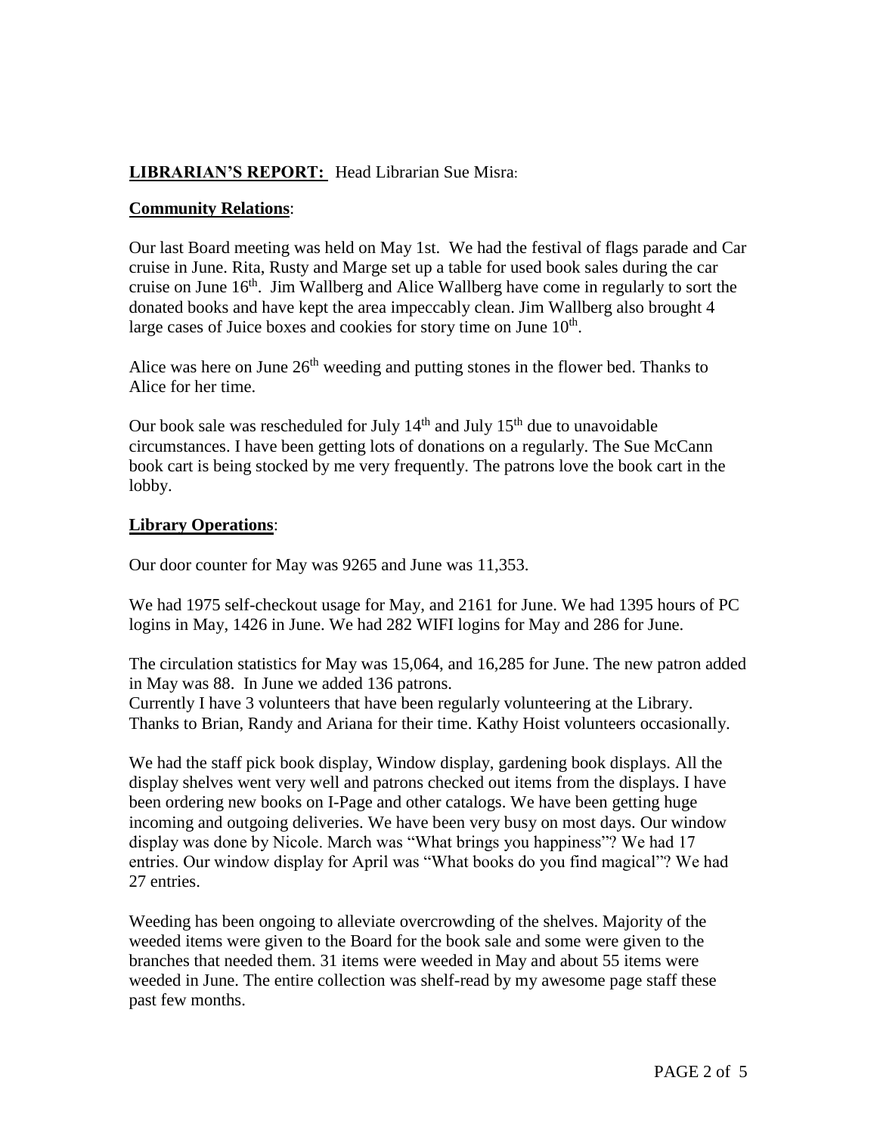## **LIBRARIAN'S REPORT:** Head Librarian Sue Misra:

#### **Community Relations**:

Our last Board meeting was held on May 1st. We had the festival of flags parade and Car cruise in June. Rita, Rusty and Marge set up a table for used book sales during the car cruise on June  $16<sup>th</sup>$ . Jim Wallberg and Alice Wallberg have come in regularly to sort the donated books and have kept the area impeccably clean. Jim Wallberg also brought 4 large cases of Juice boxes and cookies for story time on June  $10<sup>th</sup>$ .

Alice was here on June  $26<sup>th</sup>$  weeding and putting stones in the flower bed. Thanks to Alice for her time.

Our book sale was rescheduled for July  $14<sup>th</sup>$  and July  $15<sup>th</sup>$  due to unavoidable circumstances. I have been getting lots of donations on a regularly. The Sue McCann book cart is being stocked by me very frequently. The patrons love the book cart in the lobby.

#### **Library Operations**:

Our door counter for May was 9265 and June was 11,353.

We had 1975 self-checkout usage for May, and 2161 for June. We had 1395 hours of PC logins in May, 1426 in June. We had 282 WIFI logins for May and 286 for June.

The circulation statistics for May was 15,064, and 16,285 for June. The new patron added in May was 88. In June we added 136 patrons.

Currently I have 3 volunteers that have been regularly volunteering at the Library. Thanks to Brian, Randy and Ariana for their time. Kathy Hoist volunteers occasionally.

We had the staff pick book display, Window display, gardening book displays. All the display shelves went very well and patrons checked out items from the displays. I have been ordering new books on I-Page and other catalogs. We have been getting huge incoming and outgoing deliveries. We have been very busy on most days. Our window display was done by Nicole. March was "What brings you happiness"? We had 17 entries. Our window display for April was "What books do you find magical"? We had 27 entries.

Weeding has been ongoing to alleviate overcrowding of the shelves. Majority of the weeded items were given to the Board for the book sale and some were given to the branches that needed them. 31 items were weeded in May and about 55 items were weeded in June. The entire collection was shelf-read by my awesome page staff these past few months.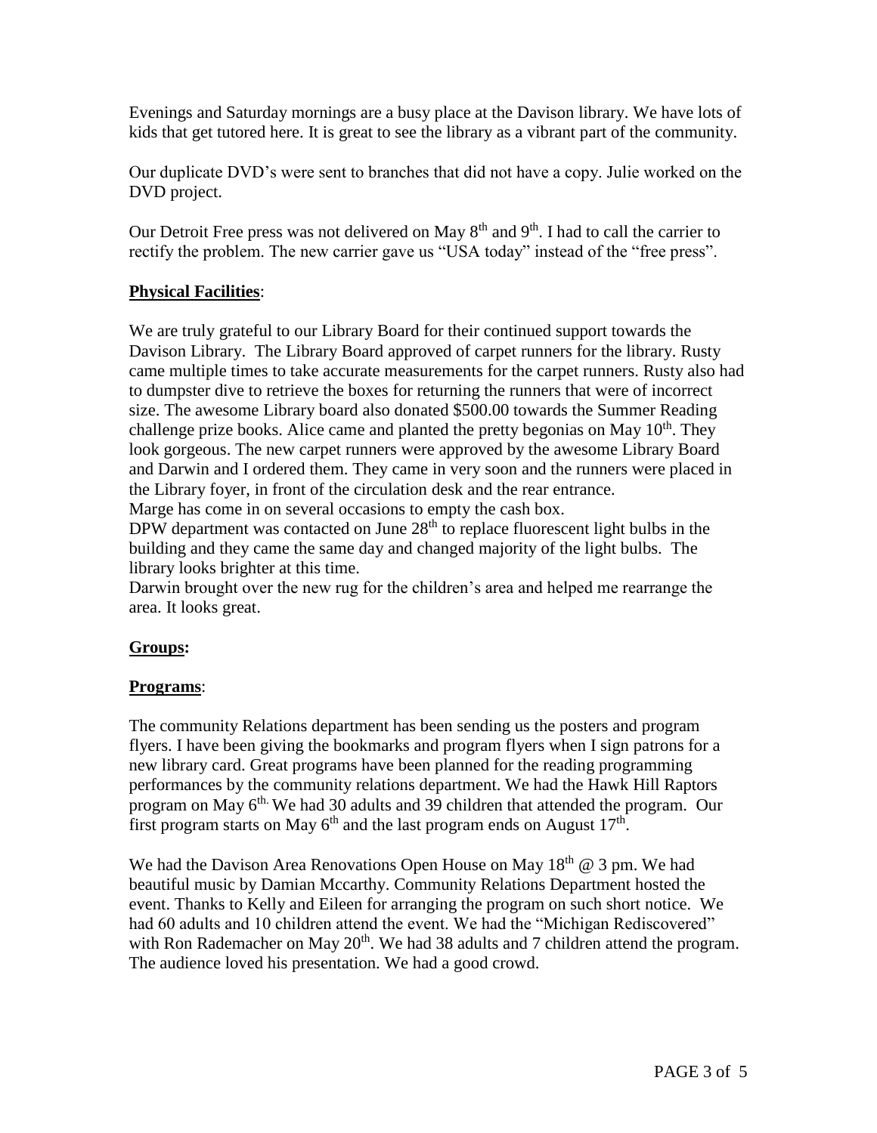Evenings and Saturday mornings are a busy place at the Davison library. We have lots of kids that get tutored here. It is great to see the library as a vibrant part of the community.

Our duplicate DVD's were sent to branches that did not have a copy. Julie worked on the DVD project.

Our Detroit Free press was not delivered on May  $8<sup>th</sup>$  and  $9<sup>th</sup>$ . I had to call the carrier to rectify the problem. The new carrier gave us "USA today" instead of the "free press".

## **Physical Facilities**:

We are truly grateful to our Library Board for their continued support towards the Davison Library. The Library Board approved of carpet runners for the library. Rusty came multiple times to take accurate measurements for the carpet runners. Rusty also had to dumpster dive to retrieve the boxes for returning the runners that were of incorrect size. The awesome Library board also donated \$500.00 towards the Summer Reading challenge prize books. Alice came and planted the pretty begonias on May  $10<sup>th</sup>$ . They look gorgeous. The new carpet runners were approved by the awesome Library Board and Darwin and I ordered them. They came in very soon and the runners were placed in the Library foyer, in front of the circulation desk and the rear entrance.

Marge has come in on several occasions to empty the cash box.

DPW department was contacted on June  $28<sup>th</sup>$  to replace fluorescent light bulbs in the building and they came the same day and changed majority of the light bulbs. The library looks brighter at this time.

Darwin brought over the new rug for the children's area and helped me rearrange the area. It looks great.

# **Groups:**

#### **Programs**:

The community Relations department has been sending us the posters and program flyers. I have been giving the bookmarks and program flyers when I sign patrons for a new library card. Great programs have been planned for the reading programming performances by the community relations department. We had the Hawk Hill Raptors program on May  $6<sup>th</sup>$ . We had 30 adults and 39 children that attended the program. Our first program starts on May  $6<sup>th</sup>$  and the last program ends on August  $17<sup>th</sup>$ .

We had the Davison Area Renovations Open House on May  $18<sup>th</sup>$  @ 3 pm. We had beautiful music by Damian Mccarthy. Community Relations Department hosted the event. Thanks to Kelly and Eileen for arranging the program on such short notice. We had 60 adults and 10 children attend the event. We had the "Michigan Rediscovered" with Ron Rademacher on May  $20<sup>th</sup>$ . We had 38 adults and 7 children attend the program. The audience loved his presentation. We had a good crowd.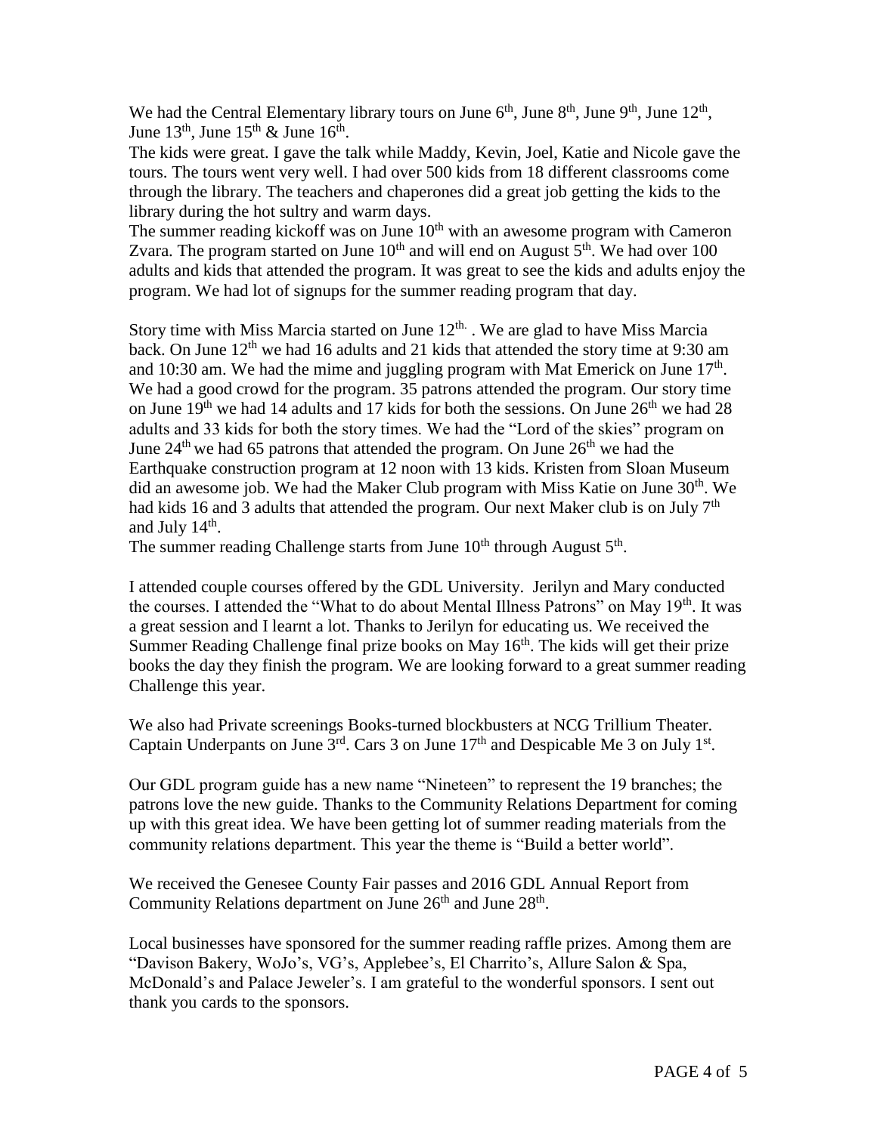We had the Central Elementary library tours on June  $6<sup>th</sup>$ , June  $8<sup>th</sup>$ , June  $9<sup>th</sup>$ , June  $12<sup>th</sup>$ , June  $13<sup>th</sup>$ , June  $15<sup>th</sup>$  & June  $16<sup>th</sup>$ .

The kids were great. I gave the talk while Maddy, Kevin, Joel, Katie and Nicole gave the tours. The tours went very well. I had over 500 kids from 18 different classrooms come through the library. The teachers and chaperones did a great job getting the kids to the library during the hot sultry and warm days.

The summer reading kickoff was on June  $10<sup>th</sup>$  with an awesome program with Cameron Zvara. The program started on June  $10<sup>th</sup>$  and will end on August  $5<sup>th</sup>$ . We had over 100 adults and kids that attended the program. It was great to see the kids and adults enjoy the program. We had lot of signups for the summer reading program that day.

Story time with Miss Marcia started on June  $12<sup>th</sup>$ . We are glad to have Miss Marcia back. On June  $12<sup>th</sup>$  we had 16 adults and 21 kids that attended the story time at 9:30 am and 10:30 am. We had the mime and juggling program with Mat Emerick on June  $17<sup>th</sup>$ . We had a good crowd for the program. 35 patrons attended the program. Our story time on June  $19<sup>th</sup>$  we had 14 adults and 17 kids for both the sessions. On June  $26<sup>th</sup>$  we had 28 adults and 33 kids for both the story times. We had the "Lord of the skies" program on June  $24<sup>th</sup>$  we had 65 patrons that attended the program. On June  $26<sup>th</sup>$  we had the Earthquake construction program at 12 noon with 13 kids. Kristen from Sloan Museum did an awesome job. We had the Maker Club program with Miss Katie on June  $30<sup>th</sup>$ . We had kids 16 and 3 adults that attended the program. Our next Maker club is on July  $7<sup>th</sup>$ and July  $14<sup>th</sup>$ .

The summer reading Challenge starts from June  $10^{th}$  through August  $5^{th}$ .

I attended couple courses offered by the GDL University. Jerilyn and Mary conducted the courses. I attended the "What to do about Mental Illness Patrons" on May 19<sup>th</sup>. It was a great session and I learnt a lot. Thanks to Jerilyn for educating us. We received the Summer Reading Challenge final prize books on May  $16<sup>th</sup>$ . The kids will get their prize books the day they finish the program. We are looking forward to a great summer reading Challenge this year.

We also had Private screenings Books-turned blockbusters at NCG Trillium Theater. Captain Underpants on June  $3<sup>rd</sup>$ . Cars 3 on June 17<sup>th</sup> and Despicable Me 3 on July 1<sup>st</sup>.

Our GDL program guide has a new name "Nineteen" to represent the 19 branches; the patrons love the new guide. Thanks to the Community Relations Department for coming up with this great idea. We have been getting lot of summer reading materials from the community relations department. This year the theme is "Build a better world".

We received the Genesee County Fair passes and 2016 GDL Annual Report from Community Relations department on June  $26<sup>th</sup>$  and June  $28<sup>th</sup>$ .

Local businesses have sponsored for the summer reading raffle prizes. Among them are "Davison Bakery, WoJo's, VG's, Applebee's, El Charrito's, Allure Salon & Spa, McDonald's and Palace Jeweler's. I am grateful to the wonderful sponsors. I sent out thank you cards to the sponsors.